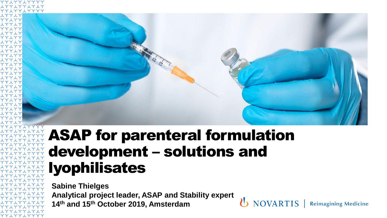

NOVARTIS |

**Reimagining Medicine** 

### ASAP for parenteral formulation development – solutions and lyophilisates

**Sabine Thielges Analytical project leader, ASAP and Stability expert 14th and 15th October 2019, Amsterdam**

YY LYY LYYYY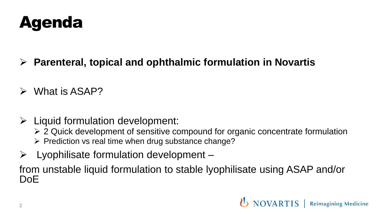

- ➢ **Parenteral, topical and ophthalmic formulation in Novartis**
- ➢ What is ASAP?
- $\triangleright$  Liquid formulation development:
	- ➢ 2 Quick development of sensitive compound for organic concentrate formulation
	- ➢ Prediction vs real time when drug substance change?
- $\triangleright$  Lyophilisate formulation development –

from unstable liquid formulation to stable lyophilisate using ASAP and/or DoE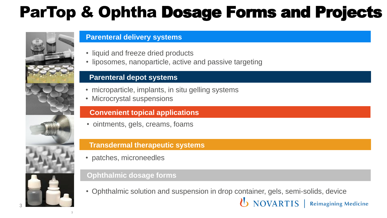## ParTop & Ophtha Dosage Forms and Projects





3

#### **Parenteral delivery systems**

- liquid and freeze dried products
- liposomes, nanoparticle, active and passive targeting

#### **Parenteral depot systems**

- microparticle, implants, in situ gelling systems
- Microcrystal suspensions

#### **Convenient topical applications**

• ointments, gels, creams, foams

#### **Transdermal therapeutic systems**

• patches, microneedles

#### **Ophthalmic dosage forms**

• Ophthalmic solution and suspension in drop container, gels, semi-solids, device

**U** NOVARTIS | Reimagining Medicine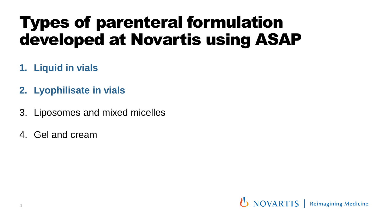## Types of parenteral formulation developed at Novartis using ASAP

- **1. Liquid in vials**
- **2. Lyophilisate in vials**
- 3. Liposomes and mixed micelles
- 4. Gel and cream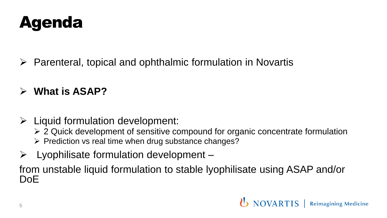

- ➢ Parenteral, topical and ophthalmic formulation in Novartis
- ➢ **What is ASAP?**
- $\triangleright$  Liquid formulation development:
	- ➢ 2 Quick development of sensitive compound for organic concentrate formulation
	- ➢ Prediction vs real time when drug substance changes?
- $\triangleright$  Lyophilisate formulation development –

from unstable liquid formulation to stable lyophilisate using ASAP and/or DoE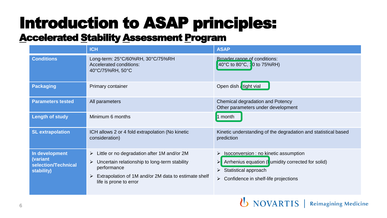# Introduction to ASAP principles:

### **Accelerated Stability Assessment Program**

|                                                                 | <b>ICH</b>                                                                                                                                                                                              | <b>ASAP</b>                                                                                                                                                                                 |
|-----------------------------------------------------------------|---------------------------------------------------------------------------------------------------------------------------------------------------------------------------------------------------------|---------------------------------------------------------------------------------------------------------------------------------------------------------------------------------------------|
| <b>Conditions</b>                                               | Long-term: 25°C/60%RH, 30°C/75%RH<br>Accelerated conditions:<br>40°C/75%RH, 50°C                                                                                                                        | Broader range of conditions:<br>40°C to 80°C, 10 to 75%RH)                                                                                                                                  |
| <b>Packaging</b>                                                | Primary container                                                                                                                                                                                       | Open dish tight vial                                                                                                                                                                        |
| <b>Parameters tested</b>                                        | All parameters                                                                                                                                                                                          | Chemical degradation and Potency<br>Other parameters under development                                                                                                                      |
| <b>Length of study</b>                                          | Minimum 6 months                                                                                                                                                                                        | 1 month                                                                                                                                                                                     |
| <b>SL</b> extrapolation                                         | ICH allows 2 or 4 fold extrapolation (No kinetic<br>consideration)                                                                                                                                      | Kinetic understanding of the degradation and statistical based<br>prediction                                                                                                                |
| In development<br>(variant<br>selection/Technical<br>stability) | Little or no degradation after 1M and/or 2M<br>➤<br>Uncertain relationship to long-term stability<br>➤<br>performance<br>Extrapolation of 1M and/or 2M data to estimate shelf<br>life is prone to error | > Isoconversion : no kinetic assumption<br>Arrhenius equation (I umidity corrected for solid)<br>$\blacktriangleright$<br>Statistical approach<br>Confidence in shelf-life projections<br>➤ |

**U** NOVARTIS | Reimagining Medicine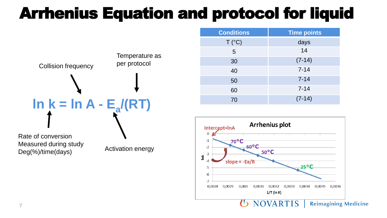## Arrhenius Equation and protocol for liquid



Measured during study Deg(%)/time(days)

Activation energy

| <b>Conditions</b> | <b>Time points</b> |
|-------------------|--------------------|
| T (°C)            | days               |
| 5                 | 14                 |
| 30                | $(7-14)$           |
| 40                | $7 - 14$           |
| 50                | $7 - 14$           |
| 60                | $7 - 14$           |
| 70                | $(7-14)$           |



**NOVARTIS Reimagining Medicine**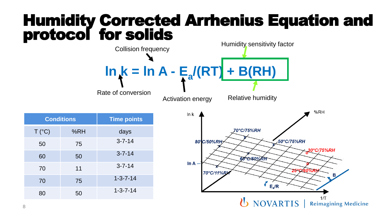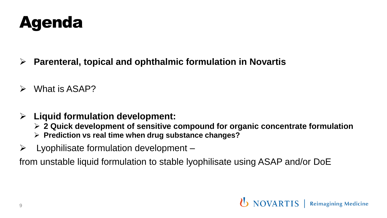

- ➢ **Parenteral, topical and ophthalmic formulation in Novartis**
- ➢ What is ASAP?
- ➢ **Liquid formulation development:**
	- ➢ **2 Quick development of sensitive compound for organic concentrate formulation**
	- ➢ **Prediction vs real time when drug substance changes?**
- $\triangleright$  Lyophilisate formulation development –

from unstable liquid formulation to stable lyophilisate using ASAP and/or DoE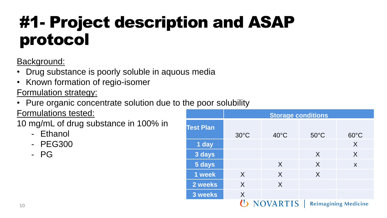## #1- Project description and ASAP protocol

Background:

- Drug substance is poorly soluble in aquous media
- Known formation of regio-isomer

Formulation strategy:

• Pure organic concentrate solution due to the poor solubility

Formulations tested:

10 mg/mL of drug substance in 100% in

- Ethanol
- PEG300
- PG

|                  | <b>Storage conditions</b> |                 |                |                             |
|------------------|---------------------------|-----------------|----------------|-----------------------------|
| <b>Test Plan</b> | $30^{\circ}$ C            | $40^{\circ}$ C  | $50^{\circ}$ C | $60^{\circ}$ C              |
| 1 day            |                           |                 |                | X                           |
| 3 days           |                           |                 | X              | X                           |
| 5 days           |                           | $\sf X$         | X              | X                           |
| 1 week           | $\times$                  | $\chi$          | X              |                             |
| 2 weeks          | X                         | X               |                |                             |
| 3 weeks          | X                         |                 |                |                             |
|                  |                           | <b>NOVARTIS</b> |                | <b>Reimagining Medicine</b> |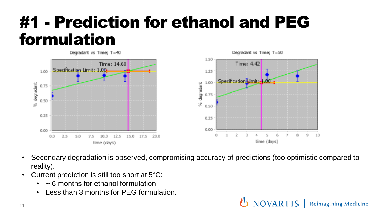## #1 - Prediction for ethanol and PEG formulation



• Secondary degradation is observed, compromising accuracy of predictions (too optimistic compared to reality).

**NOVARTIS** 

**Reimagining Medicine** 

- Current prediction is still too short at 5°C:
	- $\sim$  6 months for ethanol formulation
	- Less than 3 months for PEG formulation.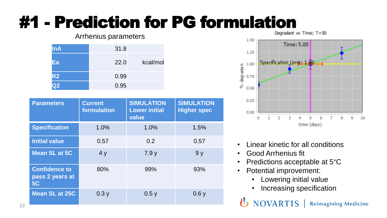# **#1 - Prediction for PG formulation**

#### Arrhenius parameters

| <b>InA</b>     | 31.8 |          |
|----------------|------|----------|
| Eа             | 22.0 | kcal/mol |
| R <sub>2</sub> | 0.99 |          |
| <u>22</u>      | 0.95 |          |

| <b>Parameters</b>                                    | <b>Current</b><br>formulation | <b>SIMULATION</b><br><b>Lower initial</b><br>value | <b>SIMULATION</b><br><b>Higher spec</b> |
|------------------------------------------------------|-------------------------------|----------------------------------------------------|-----------------------------------------|
| <b>Specification</b>                                 | 1.0%                          | 1.0%                                               | 1.5%                                    |
| <b>Initial value</b>                                 | 0.57                          | 0.2                                                | 0.57                                    |
| <b>Mean SL at 5C</b>                                 | 4y                            | 7.9y                                               | 9 <sub>y</sub>                          |
| <b>Confidence to</b><br>pass 2 years at<br><b>5C</b> | 80%                           | 99%                                                | 93%                                     |
| Mean SL at 25C                                       | 0.3y                          | 0.5y                                               | 0.6y                                    |



- Linear kinetic for all conditions
- Good Arrhenius fit
- Predictions acceptable at 5°C
- Potential improvement:
	- Lowering initial value
	- Increasing specification

NOVARTIS |  $\mathbf{v}$ **Reimagining Medicine**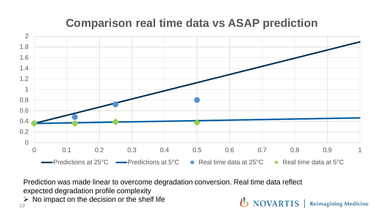### **Comparison real time data vs ASAP prediction**



**U** NOVARTIS | Reimagining Medicine

Prediction was made linear to overcome degradation conversion. Real time data reflect

expected degradation profile complexity

 $\triangleright$  No impact on the decision or the shelf life

13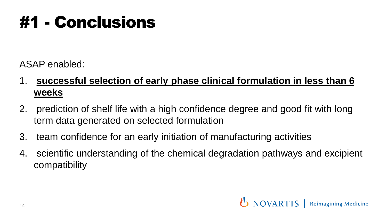## #1 - Conclusions

ASAP enabled:

- 1. **successful selection of early phase clinical formulation in less than 6 weeks**
- 2. prediction of shelf life with a high confidence degree and good fit with long term data generated on selected formulation
- 3. team confidence for an early initiation of manufacturing activities
- 4. scientific understanding of the chemical degradation pathways and excipient compatibility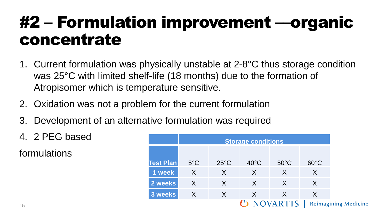## #2 – Formulation improvement ––organic concentrate

- 1. Current formulation was physically unstable at 2-8°C thus storage condition was 25°C with limited shelf-life (18 months) due to the formation of Atropisomer which is temperature sensitive.
- 2. Oxidation was not a problem for the current formulation
- 3. Development of an alternative formulation was required
- 4. 2 PEG based

formulations

|                  | <b>Storage conditions</b> |                |                |                |                |
|------------------|---------------------------|----------------|----------------|----------------|----------------|
|                  |                           |                |                |                |                |
| <b>Test Plan</b> | $5^{\circ}$ C             | $25^{\circ}$ C | $40^{\circ}$ C | $50^{\circ}$ C | $60^{\circ}$ C |
| 1 week           | X                         | X              | X              | X              | X              |
| 2 weeks          | X                         | X              | X              | X              | X              |
| 3 weeks          | X                         | X              | X              | X              | X              |
|                  |                           |                |                |                | Reimagi        |

agining Medicine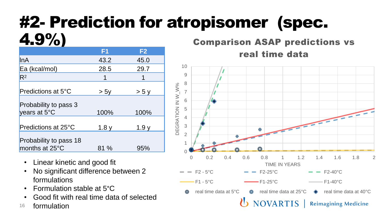### #2- Prediction for atropisomer (spec. 4.9%)

| , , ,                                    |      |                |
|------------------------------------------|------|----------------|
|                                          | F1   | F <sub>2</sub> |
| InA                                      | 43.2 | 45.0           |
| Ea (kcal/mol)                            | 28.5 | 29.7           |
| $R^2$                                    |      |                |
| Predictions at 5°C                       | > 5y | > 5y           |
| Probability to pass 3<br>years at 5°C    | 100% | 100%           |
| Predictions at 25°C                      | 1.8y | 1.9y           |
| Probability to pass 18<br>months at 25°C | 81 % | 95%            |

- Linear kinetic and good fit
- No significant difference between 2 formulations
- Formulation stable at 5°C
- Good fit with real time data of selected
- formulation 16

### Comparison ASAP predictions vs real time data

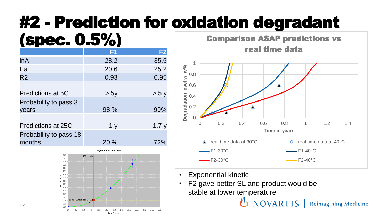# #2 - Prediction for oxidation degradant

#### (spec. 0.5%) **F1 F2** lnA 28.2 35.5 Ea 20.6 25.2 R2 0.93 0.95 Predictions at 5C  $> 5y$   $> 5y$ Probability to pass 3 years 98 % 99% Predictions at 25C 1 y 1.7 y Probability to pass 18 months 20 % 72%



17

Comparison ASAP predictions vs real time data



**U** NOVARTIS

- Exponential kinetic
- F2 gave better SL and product would be stable at lower temperature

**Reimagining Medicine**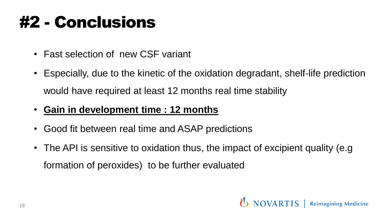## #2 - Conclusions

- Fast selection of new CSF variant
- Especially, due to the kinetic of the oxidation degradant, shelf-life prediction would have required at least 12 months real time stability
- **Gain in development time : 12 months**
- Good fit between real time and ASAP predictions
- The API is sensitive to oxidation thus, the impact of excipient quality (e.g. formation of peroxides) to be further evaluated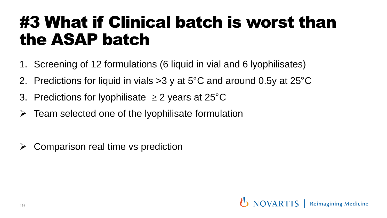## #3 What if Clinical batch is worst than the ASAP batch

- 1. Screening of 12 formulations (6 liquid in vial and 6 lyophilisates)
- 2. Predictions for liquid in vials >3 y at 5°C and around 0.5y at 25°C
- 3. Predictions for lyophilisate  $\geq$  2 years at 25 $\degree$ C
- $\triangleright$  Team selected one of the lyophilisate formulation
- $\triangleright$  Comparison real time vs prediction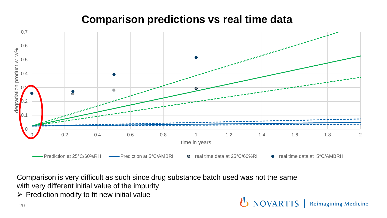### **Comparison predictions vs real time data**



**UNOVARTIS** | Reimagining Medicine

Comparison is very difficult as such since drug substance batch used was not the same with very different initial value of the impurity

 $\triangleright$  Prediction modify to fit new initial value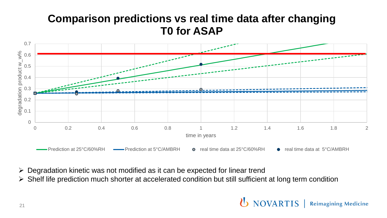### **Comparison predictions vs real time data after changing T0 for ASAP**



- ➢ Degradation kinetic was not modified as it can be expected for linear trend
- ➢ Shelf life prediction much shorter at accelerated condition but still sufficient at long term condition

U NOVARTIS | **Reimagining Medicine**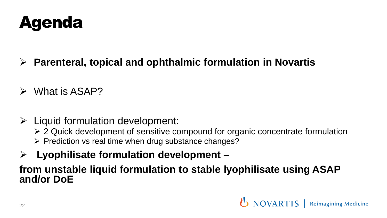

- ➢ **Parenteral, topical and ophthalmic formulation in Novartis**
- ➢ What is ASAP?
- $\triangleright$  Liquid formulation development:
	- ➢ 2 Quick development of sensitive compound for organic concentrate formulation
	- ➢ Prediction vs real time when drug substance changes?
- ➢ **Lyophilisate formulation development –**

### **from unstable liquid formulation to stable lyophilisate using ASAP and/or DoE**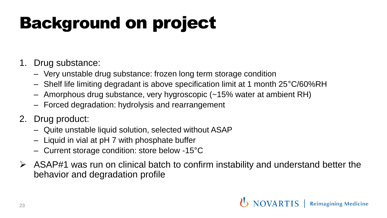# Background on project

- 1. Drug substance:
	- Very unstable drug substance: frozen long term storage condition
	- Shelf life limiting degradant is above specification limit at 1 month 25°C/60%RH
	- Amorphous drug substance, very hygroscopic (~15% water at ambient RH)
	- Forced degradation: hydrolysis and rearrangement
- 2. Drug product:
	- Quite unstable liquid solution, selected without ASAP
	- Liquid in vial at pH 7 with phosphate buffer
	- Current storage condition: store below -15°C
- $\triangleright$  ASAP#1 was run on clinical batch to confirm instability and understand better the behavior and degradation profile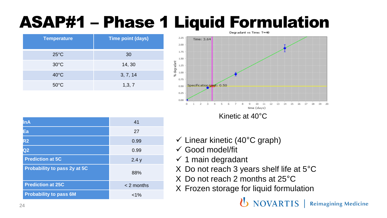## ASAP#1 – Phase 1 Liquid Formulation

| <b>Temperature</b> | <b>Time point (days)</b> |
|--------------------|--------------------------|
| $25^{\circ}$ C     | 30                       |
| $30^{\circ}$ C     | 14, 30                   |
| $40^{\circ}$ C     | 3, 7, 14                 |
| $50^{\circ}$ C     | 1,3,7                    |



Kinetic at 40°C

| <b>InA</b>                    | 41           |
|-------------------------------|--------------|
| Ea                            | 27           |
| R <sub>2</sub>                | 0.99         |
| Q <sub>2</sub>                | 0.99         |
| <b>Prediction at 5C</b>       | 2.4y         |
| Probability to pass 2y at 5C  | 88%          |
| <b>Prediction at 25C</b>      | $< 2$ months |
| <b>Probability to pass 6M</b> | $< 1\%$      |

- $\checkmark$  Linear kinetic (40°C graph)
- $\checkmark$  Good model/fit
- $\checkmark$  1 main degradant
- X Do not reach 3 years shelf life at 5°C
- X Do not reach 2 months at 25°C
- X Frozen storage for liquid formulation

**U** NOVARTIS | Reimagining Medicine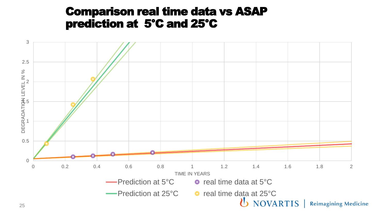### Comparison real time data vs ASAP prediction at 5°C and 25°C

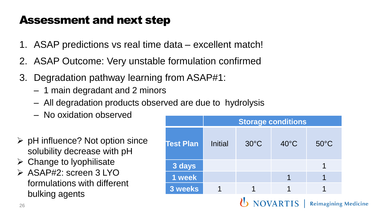### Assessment and next step

- 1. ASAP predictions vs real time data excellent match!
- 2. ASAP Outcome: Very unstable formulation confirmed
- 3. Degradation pathway learning from ASAP#1:
	- 1 main degradant and 2 minors
	- All degradation products observed are due to hydrolysis
	- No oxidation observed
- $\triangleright$  pH influence? Not option since solubility decrease with pH
- $\triangleright$  Change to lyophilisate
- ➢ ASAP#2: screen 3 LYO formulations with different bulking agents

|                  | <b>Storage conditions</b>                   |                |                |                |
|------------------|---------------------------------------------|----------------|----------------|----------------|
| <b>Test Plan</b> | <b>Initial</b>                              | $30^{\circ}$ C | $40^{\circ}$ C | $50^{\circ}$ C |
| 3 days           |                                             |                |                |                |
| 1 week           |                                             |                |                |                |
| 3 weeks          |                                             | 1              |                |                |
|                  | U NOVARTIS  <br><b>Reimagining Medicine</b> |                |                |                |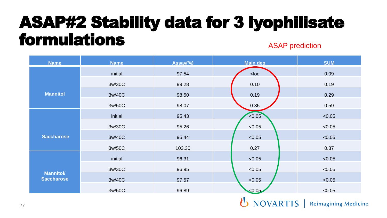### ASAP#2 Stability data for 3 lyophilisate formulations ASAP prediction

| <b>Name</b>                           | <b>Name</b> | Assay(%) | Main deg      | <b>SUM</b> |
|---------------------------------------|-------------|----------|---------------|------------|
|                                       | initial     | 97.54    | $log$         | 0.09       |
|                                       | 3w/30C      | 99.28    | 0.10          | 0.19       |
| <b>Mannitol</b>                       | 3w/40C      | 98.50    | 0.19          | 0.29       |
|                                       | 3w/50C      | 98.07    | 0.35          | 0.59       |
|                                       | initial     | 95.43    | < 0.05        | < 0.05     |
|                                       | 3w/30C      | 95.26    | < 0.05        | < 0.05     |
| <b>Saccharose</b>                     | 3w/40C      | 95.44    | < 0.05        | < 0.05     |
|                                       | 3w/50C      | 103.30   | 0.27          | 0.37       |
|                                       | initial     | 96.31    | < 0.05        | < 0.05     |
| <b>Mannitol/</b><br><b>Saccharose</b> | 3w/30C      | 96.95    | < 0.05        | < 0.05     |
|                                       | 3w/40C      | 97.57    | < 0.05        | < 0.05     |
|                                       | 3w/50C      | 96.89    | < 0.05        | < 0.05     |
|                                       |             |          | $\mathcal{L}$ |            |

**U** NOVARTIS | Reimagining Medicine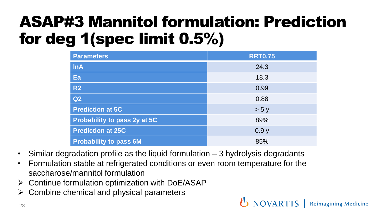## ASAP#3 Mannitol formulation: Prediction for deg 1(spec limit 0.5%)

| <b>Parameters</b>             | <b>RRT0.75</b> |
|-------------------------------|----------------|
| <b>InA</b>                    | 24.3           |
| Ea                            | 18.3           |
| R <sub>2</sub>                | 0.99           |
| Q2                            | 0.88           |
| <b>Prediction at 5C</b>       | > 5y           |
| Probability to pass 2y at 5C  | 89%            |
| <b>Prediction at 25C</b>      | 0.9y           |
| <b>Probability to pass 6M</b> | 85%            |

**(b)** NOVARTIS | Reimagining Medicine

- Similar degradation profile as the liquid formulation 3 hydrolysis degradants
- Formulation stable at refrigerated conditions or even room temperature for the saccharose/mannitol formulation
- $\triangleright$  Continue formulation optimization with DoE/ASAP
- ➢ Combine chemical and physical parameters

28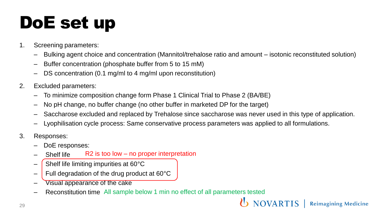# DoE set up

- 1. Screening parameters:
	- Bulking agent choice and concentration (Mannitol/trehalose ratio and amount isotonic reconstituted solution)
	- Buffer concentration (phosphate buffer from 5 to 15 mM)
	- DS concentration (0.1 mg/ml to 4 mg/ml upon reconstitution)
- 2. Excluded parameters:
	- To minimize composition change form Phase 1 Clinical Trial to Phase 2 (BA/BE)
	- No pH change, no buffer change (no other buffer in marketed DP for the target)
	- Saccharose excluded and replaced by Trehalose since saccharose was never used in this type of application.

**NOVARTIS** 

**Reimagining Medicine** 

- Lyophilisation cycle process: Same conservative process parameters was applied to all formulations.
- 3. Responses:
	- DoE responses:
	- Shelf life R2 is too low – no proper interpretation
	- $-$  Shelf life limiting impurities at 60 $\degree$ C
	- $-$  Full degradation of the drug product at 60 $\degree$ C
	- Visual appearance of the cake
	- Reconstitution time All sample below 1 min no effect of all parameters tested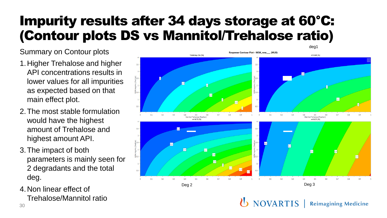### Impurity results after 34 days storage at 60°C: (Contour plots DS vs Mannitol/Trehalose ratio)

Summary on Contour plots

- 1.Higher Trehalose and higher API concentrations results in lower values for all impurities as expected based on that main effect plot.
- 2.The most stable formulation would have the highest amount of Trehalose and highest amount API.
- 3.The impact of both parameters is mainly seen for 2 degradants and the total deg.
- 4.Non linear effect of Trehalose/Mannitol ratio



*U* NOVARTIS **Reimagining Medicine**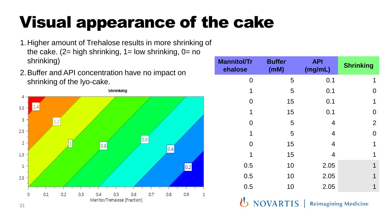# Visual appearance of the cake

- 1.Higher amount of Trehalose results in more shrinking of the cake.  $(2=$  high shrinking,  $1=$  low shrinking,  $0=$  no shrinking)
- 2.Buffer and API concentration have no impact on shrinking of the lyo-cake.



| <b>Mannitol/Tr</b><br>ehalose                  | <b>Buffer</b><br>(mM) | <b>API</b><br>(mg/mL) | <b>Shrinking</b> |
|------------------------------------------------|-----------------------|-----------------------|------------------|
| 0                                              | 5                     | 0.1                   | 1                |
| 1                                              | 5                     | 0.1                   | O                |
| 0                                              | 15                    | 0.1                   | 1                |
| 1                                              | 15                    | 0.1                   | 0                |
| 0                                              | 5                     | 4                     | $\overline{2}$   |
| 1                                              | 5                     | 4                     | 0                |
| 0                                              | 15                    | 4                     | 1                |
| 1                                              | 15                    | 4                     | 1                |
| 0.5                                            | 10                    | 2.05                  | 1                |
| 0.5                                            | 10                    | 2.05                  | 1                |
| 0.5                                            | 10                    | 2.05                  | 1                |
| <b>NOVARTIS</b><br><b>Reimagining Medicine</b> |                       |                       |                  |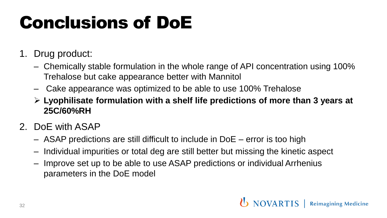# Conclusions of DoE

- 1. Drug product:
	- Chemically stable formulation in the whole range of API concentration using 100% Trehalose but cake appearance better with Mannitol
	- Cake appearance was optimized to be able to use 100% Trehalose
	- ➢ **Lyophilisate formulation with a shelf life predictions of more than 3 years at 25C/60%RH**
- 2. DoE with ASAP
	- ASAP predictions are still difficult to include in DoE error is too high
	- Individual impurities or total deg are still better but missing the kinetic aspect
	- Improve set up to be able to use ASAP predictions or individual Arrhenius parameters in the DoE model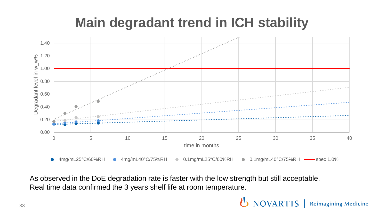### **Main degradant trend in ICH stability**



As observed in the DoE degradation rate is faster with the low strength but still acceptable. Real time data confirmed the 3 years shelf life at room temperature.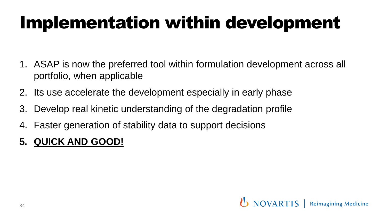# Implementation within development

- 1. ASAP is now the preferred tool within formulation development across all portfolio, when applicable
- 2. Its use accelerate the development especially in early phase
- 3. Develop real kinetic understanding of the degradation profile
- 4. Faster generation of stability data to support decisions
- **5. QUICK AND GOOD!**